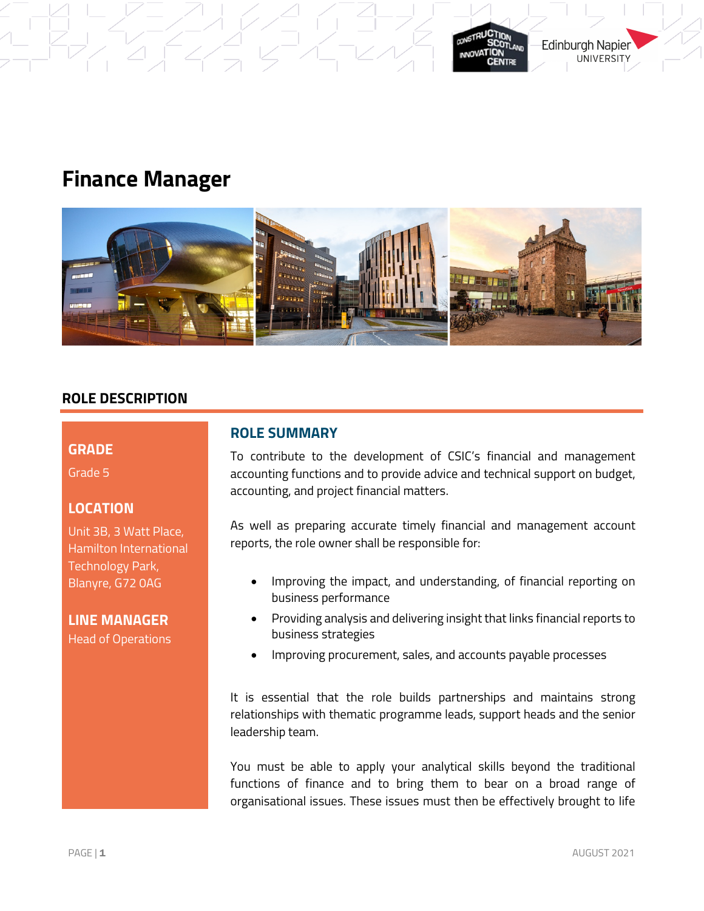



## **ROLE DESCRIPTION**

#### **GRADE**

Grade 5

## **LOCATION**

Unit 3B, 3 Watt Place, Hamilton International Technology Park, Blanyre, G72 0AG

**LINE MANAGER**  Head of Operations

## **ROLE SUMMARY**

To contribute to the development of CSIC's financial and management accounting functions and to provide advice and technical support on budget, accounting, and project financial matters.

As well as preparing accurate timely financial and management account reports, the role owner shall be responsible for:

- Improving the impact, and understanding, of financial reporting on business performance
- Providing analysis and delivering insight that links financial reports to business strategies
- Improving procurement, sales, and accounts payable processes

It is essential that the role builds partnerships and maintains strong relationships with thematic programme leads, support heads and the senior leadership team.

You must be able to apply your analytical skills beyond the traditional functions of finance and to bring them to bear on a broad range of organisational issues. These issues must then be effectively brought to life

**Edinburgh Napier UNIVERSITY**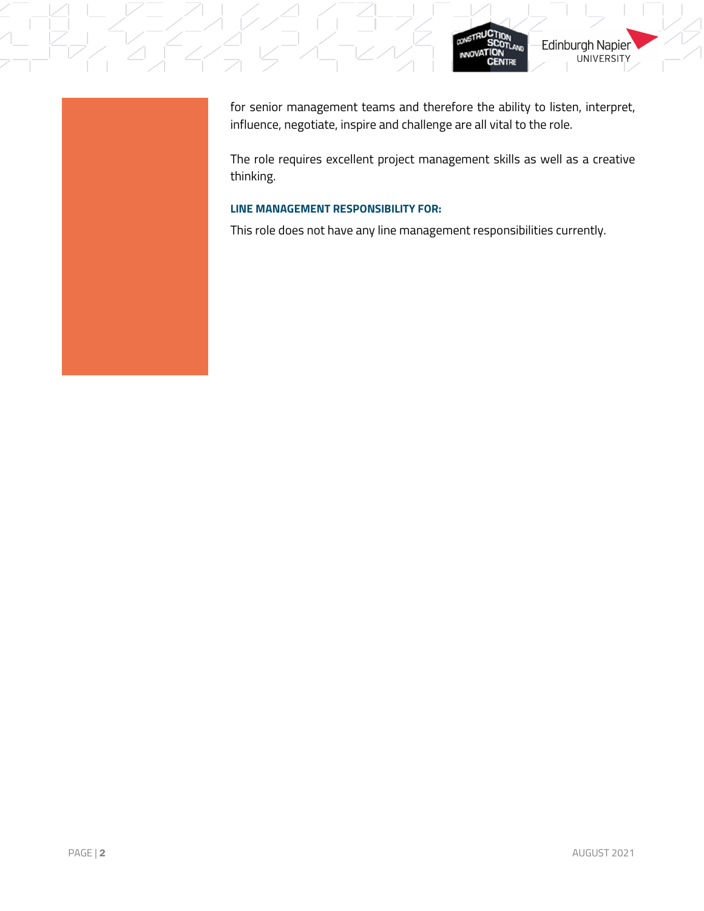

for senior management teams and therefore the ability to listen, interpret, influence, negotiate, inspire and challenge are all vital to the role.

CONSTRI

**NNOVATION** 

٦'n

**CENTRE** 

Edinburgh Napier

**UNIVERSITY** 

The role requires excellent project management skills as well as a creative

### **LINE MANAGEMENT RESPONSIBILITY FOR:**

This role does not have any line management responsibilities currently.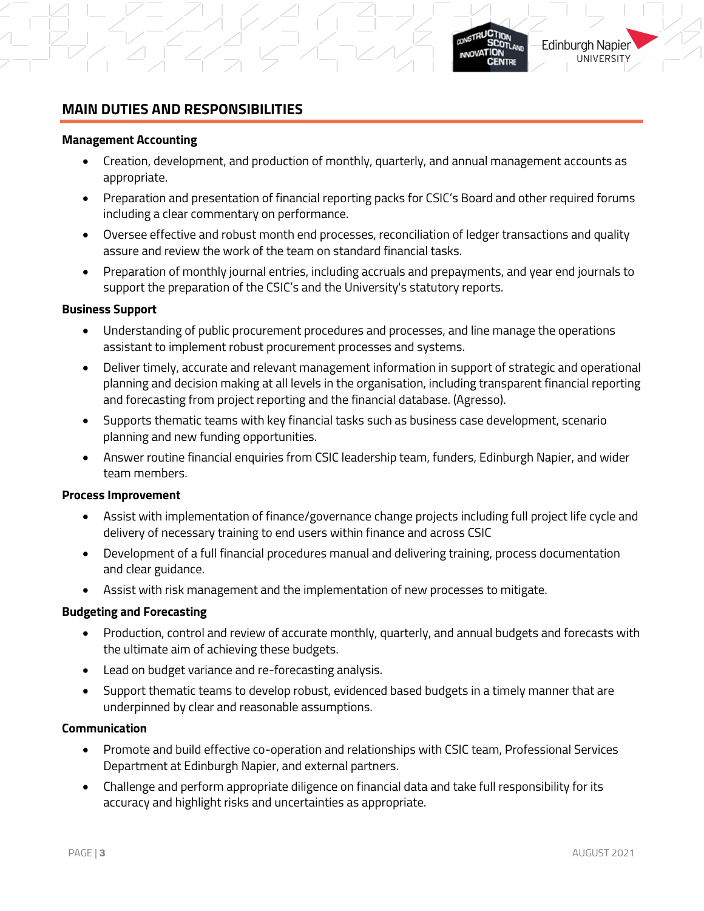## **MAIN DUTIES AND RESPONSIBILITIES**

#### **Management Accounting**

- Creation, development, and production of monthly, quarterly, and annual management accounts as appropriate.
- Preparation and presentation of financial reporting packs for CSIC's Board and other required forums including a clear commentary on performance.
- Oversee effective and robust month end processes, reconciliation of ledger transactions and quality assure and review the work of the team on standard financial tasks.
- Preparation of monthly journal entries, including accruals and prepayments, and year end journals to support the preparation of the CSIC's and the University's statutory reports.

#### **Business Support**

- Understanding of public procurement procedures and processes, and line manage the operations assistant to implement robust procurement processes and systems.
- Deliver timely, accurate and relevant management information in support of strategic and operational planning and decision making at all levels in the organisation, including transparent financial reporting and forecasting from project reporting and the financial database. (Agresso).
- Supports thematic teams with key financial tasks such as business case development, scenario planning and new funding opportunities.
- Answer routine financial enquiries from CSIC leadership team, funders, Edinburgh Napier, and wider team members.

#### **Process Improvement**

- Assist with implementation of finance/governance change projects including full project life cycle and delivery of necessary training to end users within finance and across CSIC
- Development of a full financial procedures manual and delivering training, process documentation and clear guidance.
- Assist with risk management and the implementation of new processes to mitigate.

### **Budgeting and Forecasting**

- Production, control and review of accurate monthly, quarterly, and annual budgets and forecasts with the ultimate aim of achieving these budgets.
- Lead on budget variance and re-forecasting analysis.
- Support thematic teams to develop robust, evidenced based budgets in a timely manner that are underpinned by clear and reasonable assumptions.

#### **Communication**

- Promote and build effective co-operation and relationships with CSIC team, Professional Services Department at Edinburgh Napier, and external partners.
- Challenge and perform appropriate diligence on financial data and take full responsibility for its accuracy and highlight risks and uncertainties as appropriate.

**Edinburgh Napier** 

**UNIVERSITY** 

**ANOVATION**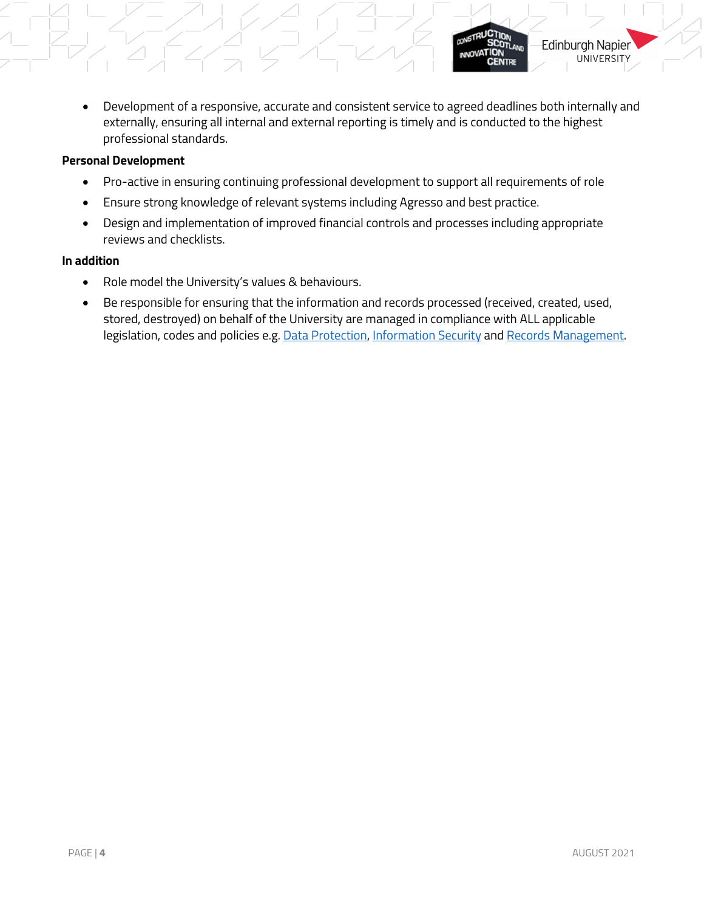• Development of a responsive, accurate and consistent service to agreed deadlines both internally and externally, ensuring all internal and external reporting is timely and is conducted to the highest professional standards.

### **Personal Development**

- Pro-active in ensuring continuing professional development to support all requirements of role
- Ensure strong knowledge of relevant systems including Agresso and best practice.
- Design and implementation of improved financial controls and processes including appropriate reviews and checklists.

### **In addition**

- Role model the University's values & behaviours.
- Be responsible for ensuring that the information and records processed (received, created, used, stored, destroyed) on behalf of the University are managed in compliance with ALL applicable legislation, codes and policies e.g[. Data Protection,](http://staff.napier.ac.uk/services/secretary/governance/DataProtection/Pages/default.aspx) [Information Security](http://staff.napier.ac.uk/services/cit/infosecurity/Pages/InformationSecurity.aspx) an[d Records Management.](https://staff.napier.ac.uk/services/governance-compliance/governance/records/Pages/default.aspx)

**Edinburgh Napier** 

**UNIVERSITY** 

**NNOVATION**